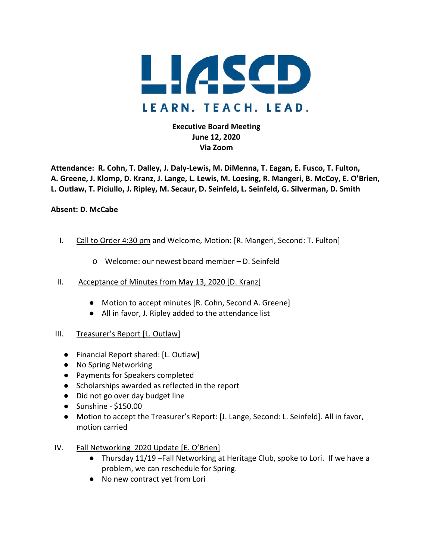

# **Executive Board Meeting June 12, 2020 Via Zoom**

**Attendance: R. Cohn, T. Dalley, J. Daly-Lewis, M. DiMenna, T. Eagan, E. Fusco, T. Fulton, A. Greene, J. Klomp, D. Kranz, J. Lange, L. Lewis, M. Loesing, R. Mangeri, B. McCoy, E. O'Brien, L. Outlaw, T. Piciullo, J. Ripley, M. Secaur, D. Seinfeld, L. Seinfeld, G. Silverman, D. Smith** 

### **Absent: D. McCabe**

- I. Call to Order 4:30 pm and Welcome, Motion: [R. Mangeri, Second: T. Fulton]
	- o Welcome: our newest board member D. Seinfeld
- II. Acceptance of Minutes from May 13, 2020 [D. Kranz]
	- Motion to accept minutes [R. Cohn, Second A. Greene]
	- All in favor, J. Ripley added to the attendance list
- III. Treasurer's Report [L. Outlaw]
	- Financial Report shared: [L. Outlaw]
	- No Spring Networking
	- Payments for Speakers completed
	- Scholarships awarded as reflected in the report
	- Did not go over day budget line
	- Sunshine \$150.00
	- Motion to accept the Treasurer's Report: [J. Lange, Second: L. Seinfeld]. All in favor, motion carried
- IV. Fall Networking 2020 Update [E. O'Brien]
	- Thursday 11/19 –Fall Networking at Heritage Club, spoke to Lori. If we have a problem, we can reschedule for Spring.
	- No new contract yet from Lori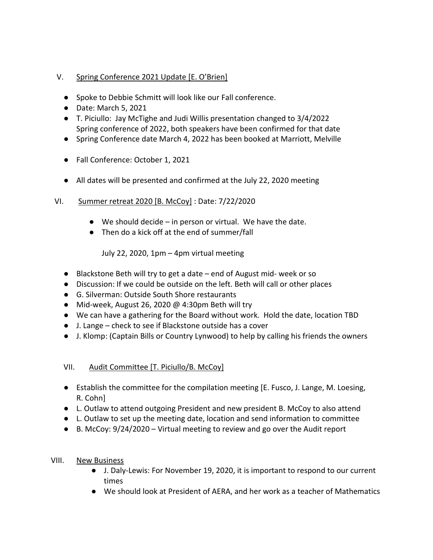# V. Spring Conference 2021 Update [E. O'Brien]

- Spoke to Debbie Schmitt will look like our Fall conference.
- Date: March 5, 2021
- T. Piciullo: Jay McTighe and Judi Willis presentation changed to 3/4/2022 Spring conference of 2022, both speakers have been confirmed for that date
- Spring Conference date March 4, 2022 has been booked at Marriott, Melville
- Fall Conference: October 1, 2021
- All dates will be presented and confirmed at the July 22, 2020 meeting

# VI. Summer retreat 2020 [B. McCoy] : Date: 7/22/2020

- $\bullet$  We should decide in person or virtual. We have the date.
- Then do a kick off at the end of summer/fall

July 22, 2020, 1pm – 4pm virtual meeting

- Blackstone Beth will try to get a date end of August mid- week or so
- Discussion: If we could be outside on the left. Beth will call or other places
- G. Silverman: Outside South Shore restaurants
- Mid-week, August 26, 2020  $\omega$  4:30pm Beth will try
- We can have a gathering for the Board without work. Hold the date, location TBD
- J. Lange check to see if Blackstone outside has a cover
- J. Klomp: (Captain Bills or Country Lynwood) to help by calling his friends the owners

## VII. Audit Committee [T. Piciullo/B. McCoy]

- Establish the committee for the compilation meeting [E. Fusco, J. Lange, M. Loesing, R. Cohn]
- L. Outlaw to attend outgoing President and new president B. McCoy to also attend
- L. Outlaw to set up the meeting date, location and send information to committee
- $\bullet$  B. McCoy:  $9/24/2020 -$  Virtual meeting to review and go over the Audit report

## VIII. New Business

- J. Daly-Lewis: For November 19, 2020, it is important to respond to our current times
- We should look at President of AERA, and her work as a teacher of Mathematics